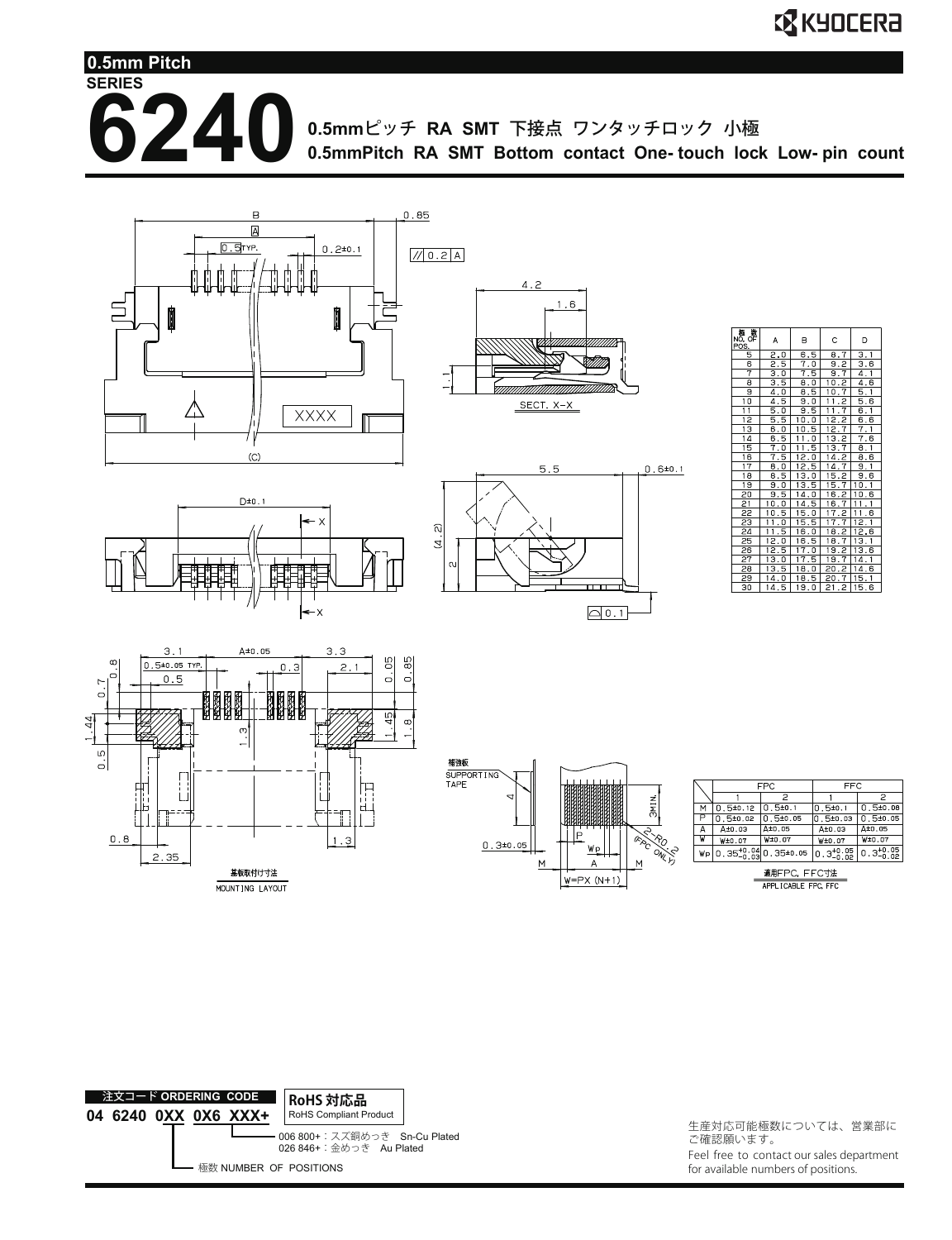**SERIES 6240** 0.5mmピッチ RA SMT 下接点 ワンタッチロック 小極 **0.5mmPitch RA SMT Bottom contact One- touch lock Low- pin count 0.5mm Pitch**









|       | FPC          |                                    | FFC                   |                       |
|-------|--------------|------------------------------------|-----------------------|-----------------------|
|       |              |                                    |                       |                       |
| М     | $0.5 = 0.12$ | 0.510.1                            | $0.5 = 0.1$           | $0.5 + 0.08$          |
|       | $0.5 + 0.02$ | $0.5 + 0.05$                       | 0 5±0.03              | 0.510.05              |
| А     | A±0.03       | At0.05                             | A±0.03                | A±0.05                |
| W     | W±0.07       | W±0.07                             | W±0.07                | W±0.07                |
| Wp    |              | $0.35^{+0.04}_{-0.03}0.35^{+0.05}$ | $0.3^{+0.05}_{-0.02}$ | $0.3^{+0.05}_{-0.02}$ |
| _____ |              |                                    |                       |                       |





生産対応可能極数については、営業部に ご確認願います。 Feel free to contact our sales department for available numbers of positions.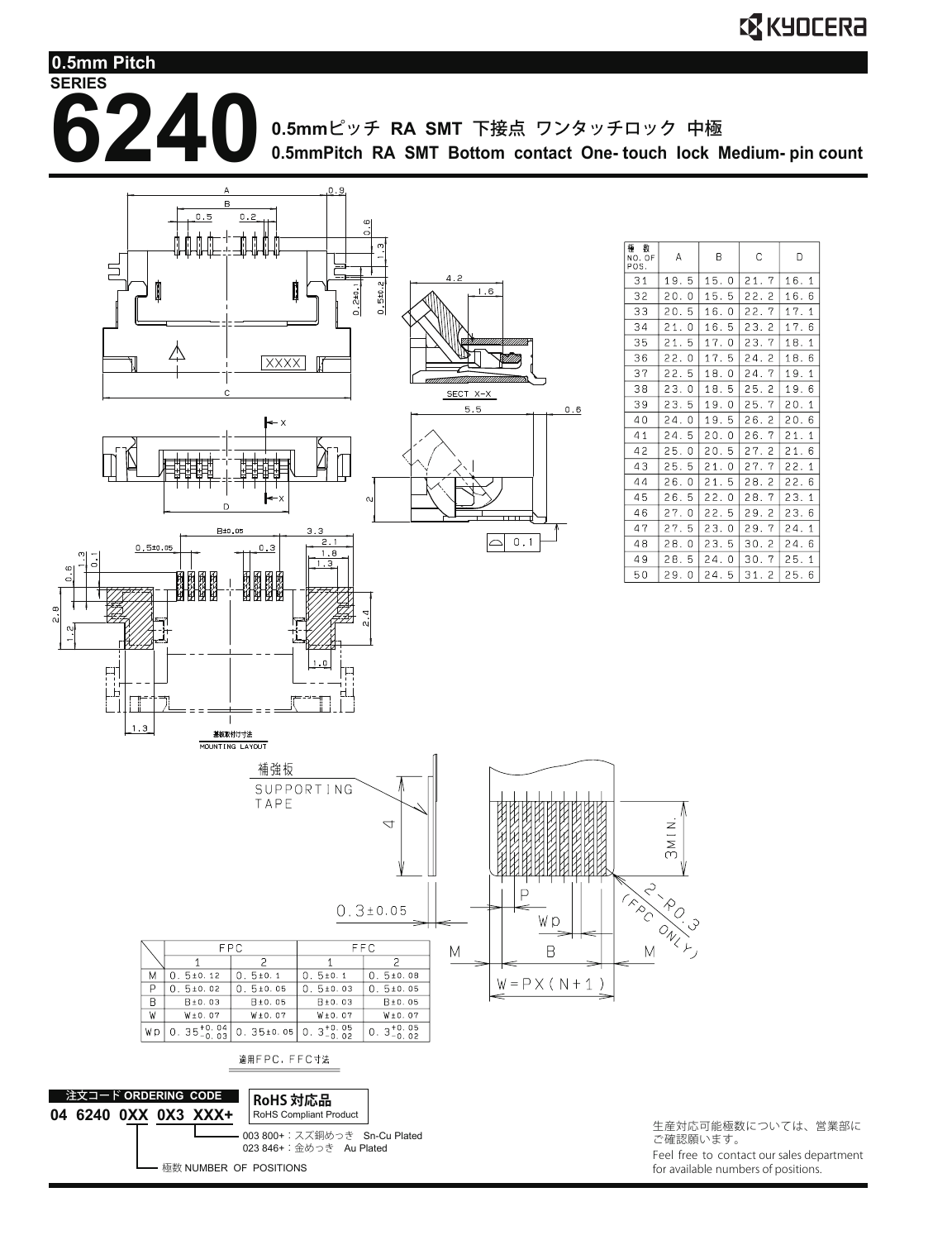**0.5mm Pitch**

**SERIES**

**62240**0.5mmピッチ RA SMT 下接点 ワンタッチロック 中極

**0.5mmPitch RA SMT Bottom contact One- touch lock Medium- pin count**

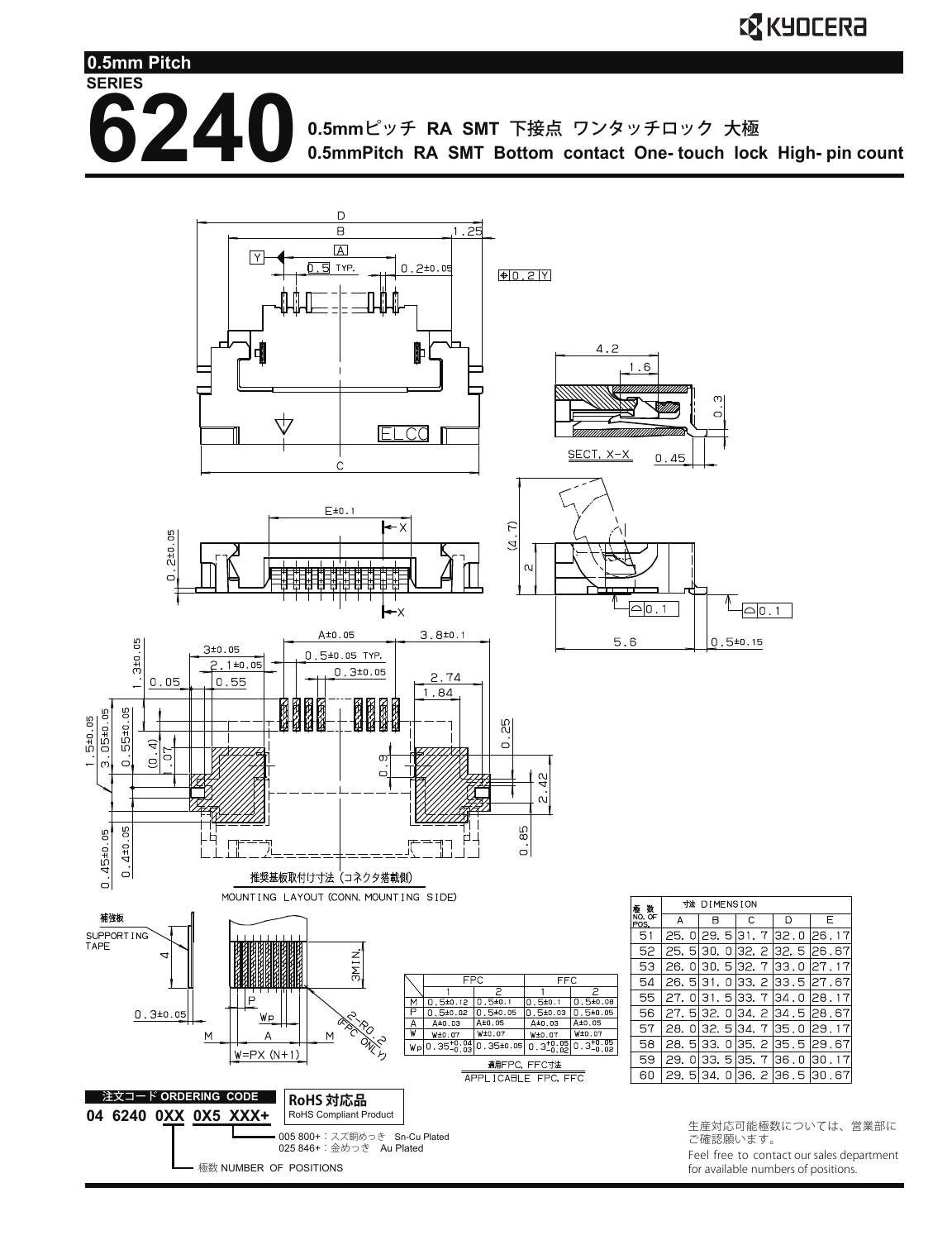**6240** 0.5mmピッチ RA SMT 下接点 ワンタッチロック 大極

**SERIES**

**0.5mm Pitch**

**0.5mmPitch RA SMT Bottom contact One- touch lock High- pin count**